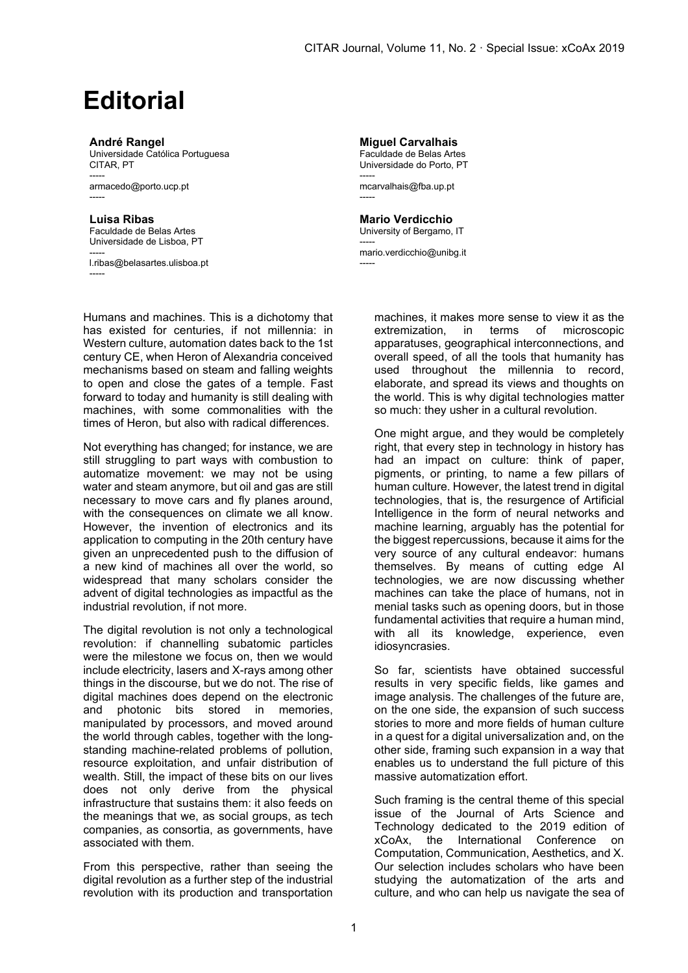## **Editorial**

## **André Rangel**

Universidade Católica Portuguesa CITAR, PT ---- armacedo@porto.ucp.pt -----

**Luisa Ribas** Faculdade de Belas Artes Universidade de Lisboa, PT

---- l.ribas@belasartes.ulisboa.pt -----

Humans and machines. This is a dichotomy that has existed for centuries, if not millennia: in Western culture, automation dates back to the 1st century CE, when Heron of Alexandria conceived mechanisms based on steam and falling weights to open and close the gates of a temple. Fast forward to today and humanity is still dealing with machines, with some commonalities with the times of Heron, but also with radical differences.

Not everything has changed; for instance, we are still struggling to part ways with combustion to automatize movement: we may not be using water and steam anymore, but oil and gas are still necessary to move cars and fly planes around, with the consequences on climate we all know. However, the invention of electronics and its application to computing in the 20th century have given an unprecedented push to the diffusion of a new kind of machines all over the world, so widespread that many scholars consider the advent of digital technologies as impactful as the industrial revolution, if not more.

The digital revolution is not only a technological revolution: if channelling subatomic particles were the milestone we focus on, then we would include electricity, lasers and X-rays among other things in the discourse, but we do not. The rise of digital machines does depend on the electronic and photonic bits stored in memories, manipulated by processors, and moved around the world through cables, together with the longstanding machine-related problems of pollution, resource exploitation, and unfair distribution of wealth. Still, the impact of these bits on our lives does not only derive from the physical infrastructure that sustains them: it also feeds on the meanings that we, as social groups, as tech companies, as consortia, as governments, have associated with them.

From this perspective, rather than seeing the digital revolution as a further step of the industrial revolution with its production and transportation

**Miguel Carvalhais** Faculdade de Belas Artes Universidade do Porto, PT ---- mcarvalhais@fba.up.pt -----

**Mario Verdicchio** University of Bergamo, IT -----

mario.verdicchio@unibg.it -----

> machines, it makes more sense to view it as the extremization, in terms of microscopic apparatuses, geographical interconnections, and overall speed, of all the tools that humanity has used throughout the millennia to record, elaborate, and spread its views and thoughts on the world. This is why digital technologies matter so much: they usher in a cultural revolution.

> One might argue, and they would be completely right, that every step in technology in history has had an impact on culture: think of paper, pigments, or printing, to name a few pillars of human culture. However, the latest trend in digital technologies, that is, the resurgence of Artificial Intelligence in the form of neural networks and machine learning, arguably has the potential for the biggest repercussions, because it aims for the very source of any cultural endeavor: humans themselves. By means of cutting edge AI technologies, we are now discussing whether machines can take the place of humans, not in menial tasks such as opening doors, but in those fundamental activities that require a human mind, with all its knowledge, experience, even idiosyncrasies.

> So far, scientists have obtained successful results in very specific fields, like games and image analysis. The challenges of the future are, on the one side, the expansion of such success stories to more and more fields of human culture in a quest for a digital universalization and, on the other side, framing such expansion in a way that enables us to understand the full picture of this massive automatization effort.

> Such framing is the central theme of this special issue of the Journal of Arts Science and Technology dedicated to the 2019 edition of xCoAx, the International Conference on Computation, Communication, Aesthetics, and X. Our selection includes scholars who have been studying the automatization of the arts and culture, and who can help us navigate the sea of